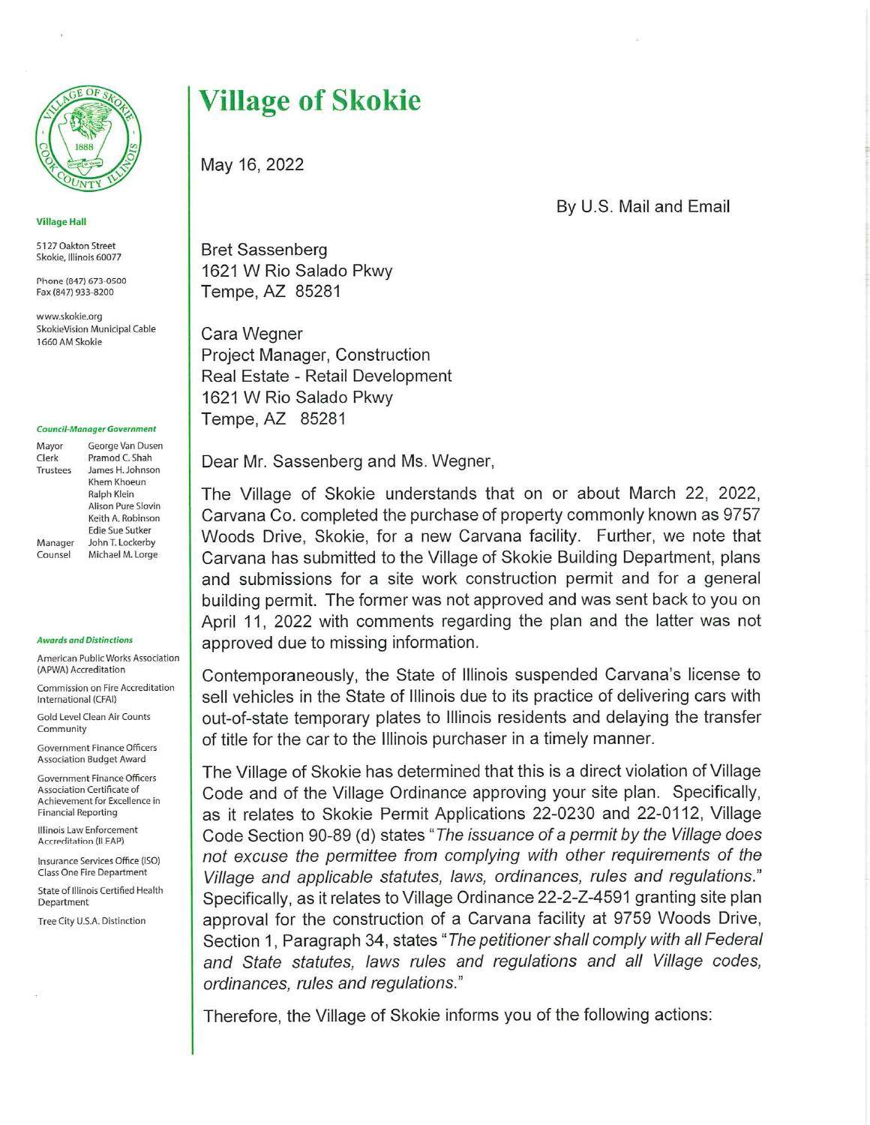

Village Hail

5127 Oakton Street Skokie, Illinois 60077

Phone (847) 673-0500 Fax (847) 933-8200

www.skakie.org SkokieVision Municipal Cable 1660AMSkokie

## Council-Manager Government

| George Van Dusen   |
|--------------------|
| Pramod C. Shah     |
| James H. Johnson   |
| Khem Khoeun        |
| Ralph Klein        |
| Alison Pure Slovin |
| Keith A. Robinson  |
| Edie Sue Sutker    |
| John T. Lockerby   |
| Michael M. Lorge   |
|                    |

## Awards and Distinctions

American Public Works Association (APWA) Accreditation

Commission on Fire Accreditation international (CFAI)

Gold Level Clean Air Counts Community

Government Finance Officers Association Budget Award

Government Finance Officers Association Certificate of Achievement for Excellence in Financial Reporting

Illinois Law Enforcement Accreditation (ILEAP)

Insurance Services Office (ISO) Class One Fire Department

State of Illinois Certified Health Department

Tree City U.S.A. Distinction

## Village of Skokie

May 16,2022

By U.S. Mail and Email

Bret Sassenberg 1621 W Rio Salado Pkwy Tempe,AZ 85281

Cara Wegner Project Manager, Construction Real Estate - Retail Development 1621 W Rio Salado Pkwy Tempe,AZ 85281

Dear Mr. Sassenberg and Ms. Wegner,

The Village of Skokie understands that on or about March 22, 2022, Carvana Co. completed the purchase of property commonly known as 9757 Woods Drive, Skokie, for a new Carvana facility. Further, we note that Carvana has submitted to the Village of Skokie Building Department, plans and submissions for a site work construction permit and for a general building permit. The former was not approved and was sent back to you on April 11, 2022 with comments regarding the plan and the latter was not approved due to missing information.

Contemporaneously, the State of Illinois suspended Carvana's license to sell vehicles in the State of Illinois due to its practice of delivering cars with out-of-state temporary plates to Illinois residents and delaying the transfer of title for the car to the Illinois purchaser in a timely manner.

The Village of Skokie has determined that this is a direct violation of Village Code and of the Village Ordinance approving your site plan. Specifically, as it relates to Skokie Permit Applications 22-0230 and 22-0112, Village Code Section 90-89 (d) states "The issuance of a permit by the Village does not excuse the permittee from complying with other requirements of the Village and applicable statutes, laws, ordinances, rules and regulations." Specifically, as it relates to Village Ordinance 22-2-Z-4591 granting site plan approval for the construction of a Carvana facility at 9759 Woods Drive, Section 1, Paragraph 34, states "The petitioner shall comply with all Federal and State statutes, laws rules and regulations and all Village codes, ordinances, rules and regulations."

Therefore, the Village of Skokie informs you of the following actions: